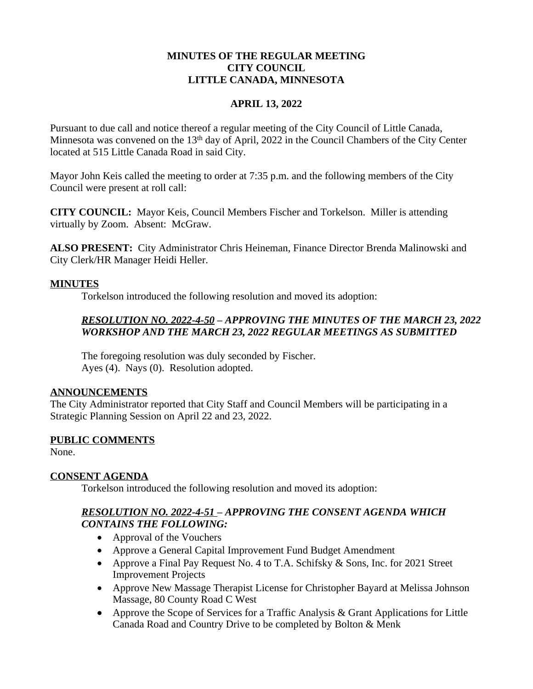### **MINUTES OF THE REGULAR MEETING CITY COUNCIL LITTLE CANADA, MINNESOTA**

#### **APRIL 13, 2022**

Pursuant to due call and notice thereof a regular meeting of the City Council of Little Canada, Minnesota was convened on the 13<sup>th</sup> day of April, 2022 in the Council Chambers of the City Center located at 515 Little Canada Road in said City.

Mayor John Keis called the meeting to order at 7:35 p.m. and the following members of the City Council were present at roll call:

**CITY COUNCIL:** Mayor Keis, Council Members Fischer and Torkelson. Miller is attending virtually by Zoom. Absent: McGraw.

**ALSO PRESENT:** City Administrator Chris Heineman, Finance Director Brenda Malinowski and City Clerk/HR Manager Heidi Heller.

### **MINUTES**

Torkelson introduced the following resolution and moved its adoption:

# *RESOLUTION NO. 2022-4-50 – APPROVING THE MINUTES OF THE MARCH 23, 2022 WORKSHOP AND THE MARCH 23, 2022 REGULAR MEETINGS AS SUBMITTED*

The foregoing resolution was duly seconded by Fischer. Ayes (4). Nays (0). Resolution adopted.

#### **ANNOUNCEMENTS**

The City Administrator reported that City Staff and Council Members will be participating in a Strategic Planning Session on April 22 and 23, 2022.

## **PUBLIC COMMENTS**

None.

## **CONSENT AGENDA**

Torkelson introduced the following resolution and moved its adoption:

# *RESOLUTION NO. 2022-4-51 – APPROVING THE CONSENT AGENDA WHICH CONTAINS THE FOLLOWING:*

- Approval of the Vouchers
- Approve a General Capital Improvement Fund Budget Amendment
- Approve a Final Pay Request No. 4 to T.A. Schifsky  $&$  Sons, Inc. for 2021 Street Improvement Projects
- Approve New Massage Therapist License for Christopher Bayard at Melissa Johnson Massage, 80 County Road C West
- Approve the Scope of Services for a Traffic Analysis & Grant Applications for Little Canada Road and Country Drive to be completed by Bolton & Menk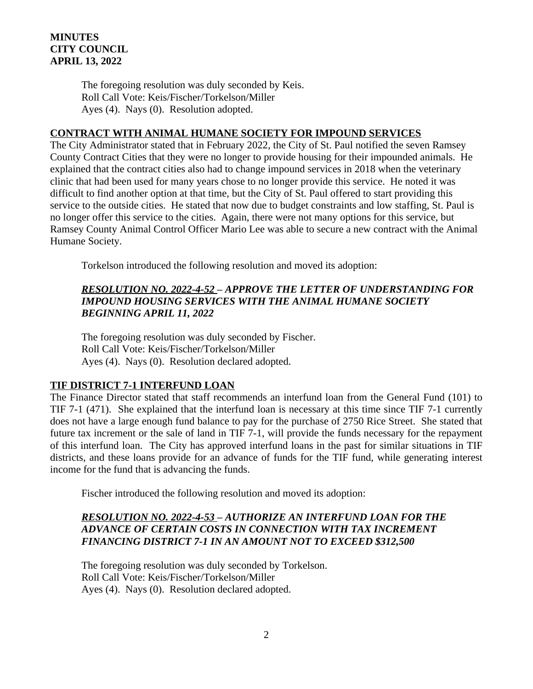### **MINUTES CITY COUNCIL APRIL 13, 2022**

The foregoing resolution was duly seconded by Keis. Roll Call Vote: Keis/Fischer/Torkelson/Miller Ayes (4). Nays (0). Resolution adopted.

### **CONTRACT WITH ANIMAL HUMANE SOCIETY FOR IMPOUND SERVICES**

The City Administrator stated that in February 2022, the City of St. Paul notified the seven Ramsey County Contract Cities that they were no longer to provide housing for their impounded animals. He explained that the contract cities also had to change impound services in 2018 when the veterinary clinic that had been used for many years chose to no longer provide this service. He noted it was difficult to find another option at that time, but the City of St. Paul offered to start providing this service to the outside cities. He stated that now due to budget constraints and low staffing, St. Paul is no longer offer this service to the cities. Again, there were not many options for this service, but Ramsey County Animal Control Officer Mario Lee was able to secure a new contract with the Animal Humane Society.

Torkelson introduced the following resolution and moved its adoption:

## *RESOLUTION NO. 2022-4-52 – APPROVE THE LETTER OF UNDERSTANDING FOR IMPOUND HOUSING SERVICES WITH THE ANIMAL HUMANE SOCIETY BEGINNING APRIL 11, 2022*

The foregoing resolution was duly seconded by Fischer. Roll Call Vote: Keis/Fischer/Torkelson/Miller Ayes (4). Nays (0). Resolution declared adopted.

## **TIF DISTRICT 7-1 INTERFUND LOAN**

The Finance Director stated that staff recommends an interfund loan from the General Fund (101) to TIF 7-1 (471). She explained that the interfund loan is necessary at this time since TIF 7-1 currently does not have a large enough fund balance to pay for the purchase of 2750 Rice Street. She stated that future tax increment or the sale of land in TIF 7-1, will provide the funds necessary for the repayment of this interfund loan. The City has approved interfund loans in the past for similar situations in TIF districts, and these loans provide for an advance of funds for the TIF fund, while generating interest income for the fund that is advancing the funds.

Fischer introduced the following resolution and moved its adoption:

## *RESOLUTION NO. 2022-4-53 – AUTHORIZE AN INTERFUND LOAN FOR THE ADVANCE OF CERTAIN COSTS IN CONNECTION WITH TAX INCREMENT FINANCING DISTRICT 7-1 IN AN AMOUNT NOT TO EXCEED \$312,500*

The foregoing resolution was duly seconded by Torkelson. Roll Call Vote: Keis/Fischer/Torkelson/Miller Ayes (4). Nays (0). Resolution declared adopted.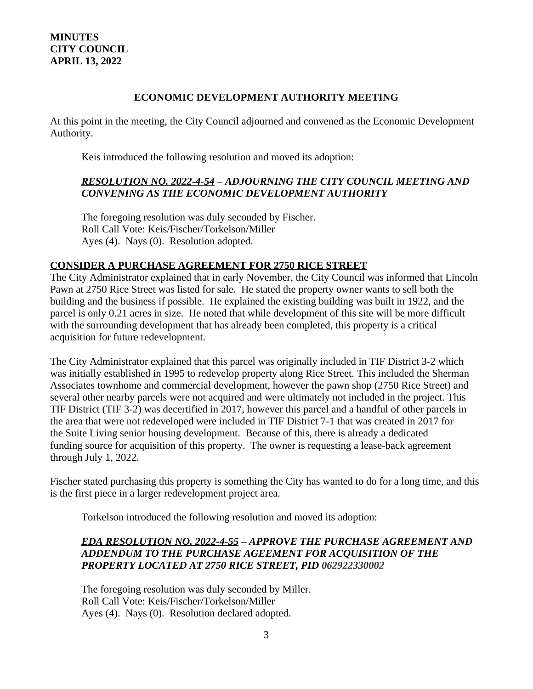### **MINUTES CITY COUNCIL APRIL 13, 2022**

#### **ECONOMIC DEVELOPMENT AUTHORITY MEETING**

At this point in the meeting, the City Council adjourned and convened as the Economic Development Authority.

Keis introduced the following resolution and moved its adoption:

### *RESOLUTION NO. 2022-4-54 – ADJOURNING THE CITY COUNCIL MEETING AND CONVENING AS THE ECONOMIC DEVELOPMENT AUTHORITY*

The foregoing resolution was duly seconded by Fischer. Roll Call Vote: Keis/Fischer/Torkelson/Miller Ayes (4). Nays (0). Resolution adopted.

## **CONSIDER A PURCHASE AGREEMENT FOR 2750 RICE STREET**

The City Administrator explained that in early November, the City Council was informed that Lincoln Pawn at 2750 Rice Street was listed for sale. He stated the property owner wants to sell both the building and the business if possible. He explained the existing building was built in 1922, and the parcel is only 0.21 acres in size. He noted that while development of this site will be more difficult with the surrounding development that has already been completed, this property is a critical acquisition for future redevelopment.

The City Administrator explained that this parcel was originally included in TIF District 3-2 which was initially established in 1995 to redevelop property along Rice Street. This included the Sherman Associates townhome and commercial development, however the pawn shop (2750 Rice Street) and several other nearby parcels were not acquired and were ultimately not included in the project. This TIF District (TIF 3-2) was decertified in 2017, however this parcel and a handful of other parcels in the area that were not redeveloped were included in TIF District 7-1 that was created in 2017 for the Suite Living senior housing development. Because of this, there is already a dedicated funding source for acquisition of this property. The owner is requesting a lease-back agreement through July 1, 2022.

Fischer stated purchasing this property is something the City has wanted to do for a long time, and this is the first piece in a larger redevelopment project area.

Torkelson introduced the following resolution and moved its adoption:

# *EDA RESOLUTION NO. 2022-4-55 – APPROVE THE PURCHASE AGREEMENT AND ADDENDUM TO THE PURCHASE AGEEMENT FOR ACQUISITION OF THE PROPERTY LOCATED AT 2750 RICE STREET, PID 062922330002*

The foregoing resolution was duly seconded by Miller. Roll Call Vote: Keis/Fischer/Torkelson/Miller Ayes (4). Nays (0). Resolution declared adopted.